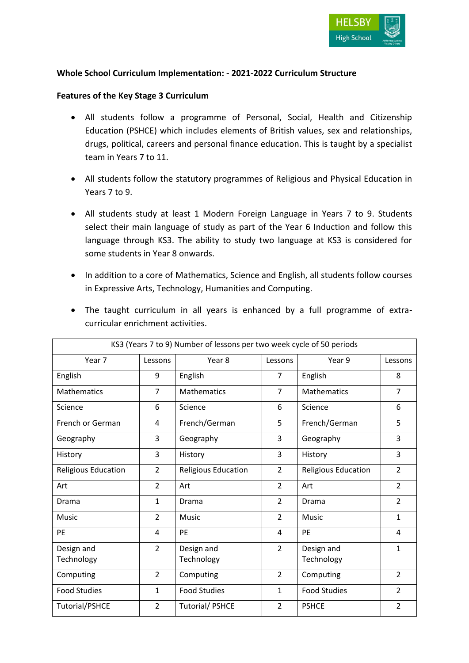

# **Whole School Curriculum Implementation: - 2021-2022 Curriculum Structure**

### **Features of the Key Stage 3 Curriculum**

- All students follow a programme of Personal, Social, Health and Citizenship Education (PSHCE) which includes elements of British values, sex and relationships, drugs, political, careers and personal finance education. This is taught by a specialist team in Years 7 to 11.
- All students follow the statutory programmes of Religious and Physical Education in Years 7 to 9.
- All students study at least 1 Modern Foreign Language in Years 7 to 9. Students select their main language of study as part of the Year 6 Induction and follow this language through KS3. The ability to study two language at KS3 is considered for some students in Year 8 onwards.
- In addition to a core of Mathematics, Science and English, all students follow courses in Expressive Arts, Technology, Humanities and Computing.

| KS3 (Years 7 to 9) Number of lessons per two week cycle of 50 periods |                |                       |                   |                            |                |
|-----------------------------------------------------------------------|----------------|-----------------------|-------------------|----------------------------|----------------|
| Year 7                                                                | Lessons        | Year 8                | Year 9<br>Lessons |                            | Lessons        |
| English                                                               | 9              | English               | $\overline{7}$    | English                    | 8              |
| <b>Mathematics</b>                                                    | $\overline{7}$ | <b>Mathematics</b>    | $\overline{7}$    | <b>Mathematics</b>         | $\overline{7}$ |
| Science                                                               | 6              | Science               | 6                 | Science                    | 6              |
| French or German                                                      | 4              | French/German         | 5                 | French/German              | 5              |
| Geography                                                             | 3              | Geography             | 3                 | Geography                  | 3              |
| History                                                               | 3              | History               | 3                 | History                    | 3              |
| <b>Religious Education</b>                                            | $\overline{2}$ | Religious Education   | 2                 | <b>Religious Education</b> | $\overline{2}$ |
| Art                                                                   | $\overline{2}$ | Art                   | $\overline{2}$    | Art                        | $\overline{2}$ |
| Drama                                                                 | $\mathbf{1}$   | Drama                 | $\overline{2}$    | Drama                      | $\overline{2}$ |
| Music                                                                 | $\overline{2}$ | Music                 | $\overline{2}$    | Music                      | $\mathbf{1}$   |
| <b>PE</b>                                                             | 4              | PE                    | 4                 | PE                         | 4              |
| Design and                                                            | $\overline{2}$ | Design and            | $\overline{2}$    | Design and                 | 1              |
| Technology                                                            |                | Technology            |                   | Technology                 |                |
| Computing                                                             | $\overline{2}$ | Computing             | $\overline{2}$    | Computing                  | $\mathcal{P}$  |
| <b>Food Studies</b>                                                   | $\mathbf{1}$   | <b>Food Studies</b>   | $\mathbf{1}$      | <b>Food Studies</b>        | $\overline{2}$ |
| <b>Tutorial/PSHCE</b>                                                 | $\overline{2}$ | <b>Tutorial/PSHCE</b> | $\overline{2}$    | <b>PSHCE</b>               | $\overline{2}$ |

 The taught curriculum in all years is enhanced by a full programme of extracurricular enrichment activities.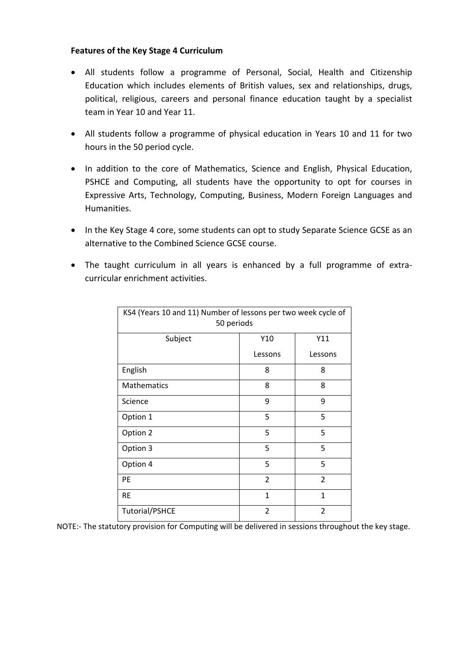# **Features of the Key Stage 4 Curriculum**

- All students follow a programme of Personal, Social, Health and Citizenship Education which includes elements of British values, sex and relationships, drugs, political, religious, careers and personal finance education taught by a specialist team in Year 10 and Year 11.
- All students follow a programme of physical education in Years 10 and 11 for two hours in the 50 period cycle.
- In addition to the core of Mathematics, Science and English, Physical Education, PSHCE and Computing, all students have the opportunity to opt for courses in Expressive Arts, Technology, Computing, Business, Modern Foreign Languages and Humanities.
- In the Key Stage 4 core, some students can opt to study Separate Science GCSE as an alternative to the Combined Science GCSE course.
- The taught curriculum in all years is enhanced by a full programme of extracurricular enrichment activities.

| KS4 (Years 10 and 11) Number of lessons per two week cycle of<br>50 periods |                |                |  |  |
|-----------------------------------------------------------------------------|----------------|----------------|--|--|
| Subject                                                                     | Y10            | Y11            |  |  |
|                                                                             | Lessons        | Lessons        |  |  |
| English                                                                     | 8              | 8              |  |  |
| Mathematics                                                                 | 8              | 8              |  |  |
| Science                                                                     | 9              | 9              |  |  |
| Option 1                                                                    | 5              | 5              |  |  |
| Option 2                                                                    | 5              | 5              |  |  |
| Option 3                                                                    | 5              | 5              |  |  |
| Option 4                                                                    | 5              | 5              |  |  |
| PE                                                                          | $\overline{2}$ | 2              |  |  |
| <b>RE</b>                                                                   | $\mathbf{1}$   | $\mathbf{1}$   |  |  |
| <b>Tutorial/PSHCE</b>                                                       | $\overline{2}$ | $\overline{2}$ |  |  |

NOTE:- The statutory provision for Computing will be delivered in sessions throughout the key stage.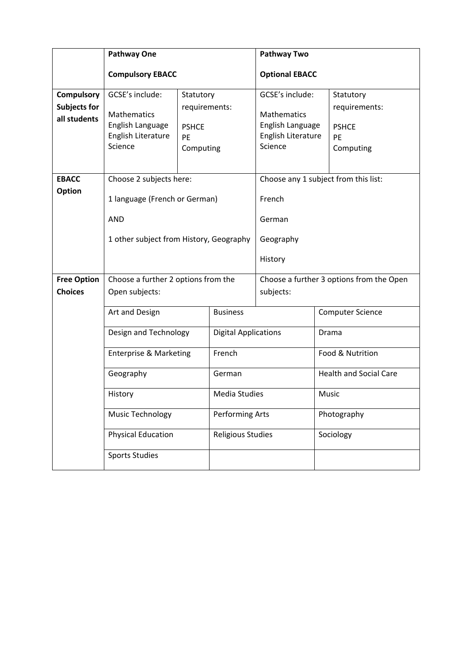|                                                                               | <b>Pathway One</b>                                                                                                                        |                               | <b>Pathway Two</b>                                                               |                                                              |                               |  |
|-------------------------------------------------------------------------------|-------------------------------------------------------------------------------------------------------------------------------------------|-------------------------------|----------------------------------------------------------------------------------|--------------------------------------------------------------|-------------------------------|--|
|                                                                               | <b>Compulsory EBACC</b>                                                                                                                   |                               |                                                                                  | <b>Optional EBACC</b>                                        |                               |  |
| <b>Compulsory</b>                                                             | GCSE's include:                                                                                                                           | Statutory                     |                                                                                  | GCSE's include:                                              | Statutory                     |  |
| <b>Subjects for</b><br><b>Mathematics</b><br>all students<br>English Language |                                                                                                                                           | requirements:<br><b>PSHCE</b> |                                                                                  | <b>Mathematics</b><br>English Language<br>English Literature | requirements:<br><b>PSHCE</b> |  |
|                                                                               | English Literature<br>Science                                                                                                             | <b>PE</b><br>Computing        |                                                                                  | Science                                                      | PE<br>Computing               |  |
| <b>EBACC</b>                                                                  | Choose 2 subjects here:                                                                                                                   |                               |                                                                                  | Choose any 1 subject from this list:                         |                               |  |
| <b>Option</b>                                                                 | 1 language (French or German)                                                                                                             |                               |                                                                                  | French                                                       |                               |  |
|                                                                               | <b>AND</b>                                                                                                                                |                               |                                                                                  | German                                                       |                               |  |
|                                                                               | 1 other subject from History, Geography                                                                                                   |                               |                                                                                  | Geography                                                    |                               |  |
|                                                                               |                                                                                                                                           |                               |                                                                                  | History                                                      |                               |  |
| <b>Free Option</b>                                                            | Choose a further 2 options from the                                                                                                       |                               |                                                                                  | Choose a further 3 options from the Open                     |                               |  |
| <b>Choices</b>                                                                | Open subjects:                                                                                                                            |                               | subjects:                                                                        |                                                              |                               |  |
|                                                                               | Art and Design<br>Design and Technology<br>French<br><b>Enterprise &amp; Marketing</b><br>Geography<br>History<br><b>Music Technology</b> |                               | <b>Business</b>                                                                  | <b>Computer Science</b>                                      |                               |  |
|                                                                               |                                                                                                                                           |                               | <b>Digital Applications</b><br>German<br>Media Studies<br><b>Performing Arts</b> |                                                              | Drama<br>Food & Nutrition     |  |
|                                                                               |                                                                                                                                           |                               |                                                                                  |                                                              |                               |  |
|                                                                               |                                                                                                                                           |                               |                                                                                  |                                                              | <b>Health and Social Care</b> |  |
|                                                                               |                                                                                                                                           |                               |                                                                                  |                                                              | Music                         |  |
|                                                                               |                                                                                                                                           |                               |                                                                                  |                                                              | Photography                   |  |
|                                                                               | <b>Physical Education</b>                                                                                                                 |                               | <b>Religious Studies</b>                                                         |                                                              | Sociology                     |  |
|                                                                               | <b>Sports Studies</b>                                                                                                                     |                               |                                                                                  |                                                              |                               |  |